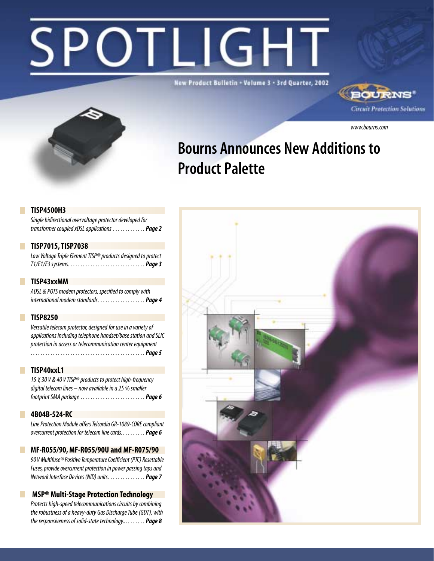# **DTLIGHT**

New Product Bulletin + Volume 3 - 3rd Quarter, 2002





*www.bourns.com*

# Bourns Announces New Additions to Product Palette

### **TISP4500H3**

*Single bidirectional overvoltage protector developed for transformer coupled xDSL applications . . . . . . . . . . . . . Page 2*

### **TISP7015, TISP7038**

*Low Voltage Triple Element TISP® products designed to protect T1/E1/E3 systems. . . . . . . . . . . . . . . . . . . . . . . . . . . . . . . Page 3*

### **TISP43xxMM**

*ADSL & POTS modem protectors, specified to comply with international modem standards . . . . . . . . . . . . . . . . . . . Page 4*

### **TISP8250**

*Versatile telecom protector, designed for use in a variety of applications including telephone handset/base station and SLIC protection in access or telecommunication center equipment . . . . . . . . . . . . . . . . . . . . . . . . . . . . . . . . . . . . . . . . . . . . . . Page 5*

#### $\Box$ **TISP40xxL1**

*15 V, 30 V & 40 V TISP® products to protect high-frequency digital telecom lines – now available in a 25 % smaller footprint SMA package . . . . . . . . . . . . . . . . . . . . . . . . . . Page 6*

### **4B04B-524-RC**

 $\Box$ 

*Line Protection Module offers Telcordia GR-1089-CORE compliant overcurrent protection for telecom line cards. . . . . . . . . . Page 6*

#### **MF-R055/90, MF-R055/90U and MF-R075/90**

*90 V Multifuse® Positive Temperature Coefficient (PTC) Resettable Fuses, provide overcurrent protection in power passing taps and Network Interface Devices (NID) units. . . . . . . . . . . . . . . Page 7*

### **MSP® Multi-Stage Protection Technology**

*Protects high-speed telecommunications circuits by combining the robustness of a heavy-duty Gas Discharge Tube (GDT), with the responsiveness of solid-state technology... . . . . . . . Page 8*

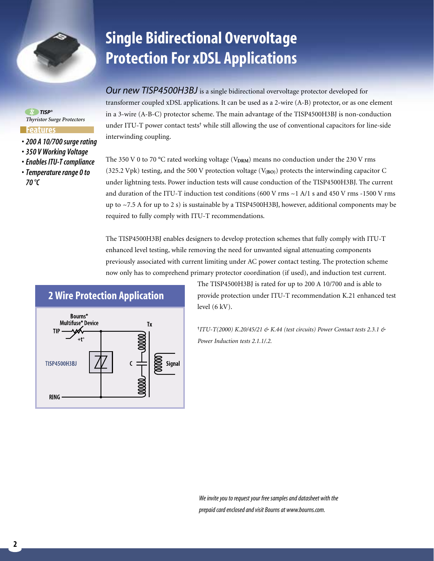

**Single Bidirectional Overvoltage Protection For xDSL Applications**

*Our new TISP4500H3BJ* is a single bidirectional overvoltage protector developed for

transformer coupled xDSL applications. It can be used as a 2-wire (A-B) protector, or as one element in a 3-wire (A-B-C) protector scheme. The main advantage of the TISP4500H3BJ is non-conduction under ITU-T power contact tests**†** while still allowing the use of conventional capacitors for line-side interwinding coupling.

The 350 V 0 to 70 °C rated working voltage (V<sub>DRM</sub>) means no conduction under the 230 V rms (325.2 Vpk) testing, and the 500 V protection voltage (V**(BO)**) protects the interwinding capacitor C under lightning tests. Power induction tests will cause conduction of the TISP4500H3BJ. The current and duration of the ITU-T induction test conditions (600 V rms ~1 A/1 s and 450 V rms -1500 V rms up to ~7.5 A for up to 2 s) is sustainable by a TISP4500H3BJ, however, additional components may be required to fully comply with ITU-T recommendations.

The TISP4500H3BJ enables designers to develop protection schemes that fully comply with ITU-T enhanced level testing, while removing the need for unwanted signal attenuating components previously associated with current limiting under AC power contact testing. The protection scheme now only has to comprehend primary protector coordination (if used), and induction test current.



The TISP4500H3BJ is rated for up to 200 A 10/700 and is able to provide protection under ITU-T recommendation K.21 enhanced test level (6 kV).

**†** *ITU-T(2000) K.20/45/21 & K.44 (test circuits) Power Contact tests 2.3.1 & Power Induction tests 2.1.1/.2.*

*We invite you to request your free samples and datasheet with the prepaid card enclosed and visit Bourns at www.bourns.com.*

*• 200 A 10/700 surge rating • 350 V Working Voltage • Enables ITU-T compliance*

**Features**

*TISP®*

*• Temperature range 0 to 70 °C*

*Thyristor Surge Protectors*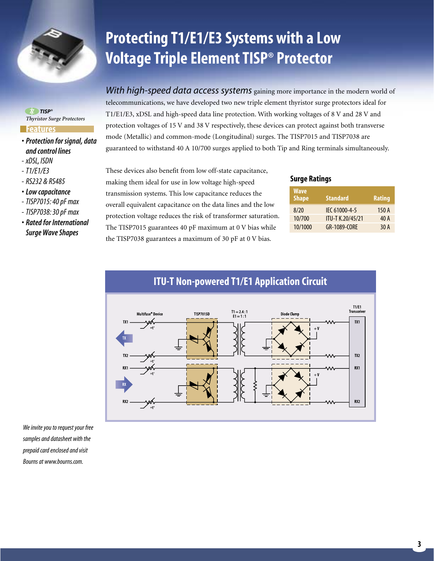

*TISP® Thyristor Surge Protectors* 

#### **Features**

- *Protection for signal, data and control lines*
- *xDSL, ISDN*
- *T1/E1/E3*
- *RS232 & RS485*
- *Low capacitance*
- *TISP7015: 40 pF max*
- *TISP7038: 30 pF max*
- *Rated for International Surge Wave Shapes*

# **Protecting T1/E1/E3 Systems with a Low Voltage Triple Element TISP® Protector**

*With high-speed data access systems* gaining more importance in the modern world of telecommunications, we have developed two new triple element thyristor surge protectors ideal for T1/E1/E3, xDSL and high-speed data line protection. With working voltages of 8 V and 28 V and protection voltages of 15 V and 38 V respectively, these devices can protect against both transverse mode (Metallic) and common-mode (Longitudinal) surges. The TISP7015 and TISP7038 are guaranteed to withstand 40 A 10/700 surges applied to both Tip and Ring terminals simultaneously.

These devices also benefit from low off-state capacitance, making them ideal for use in low voltage high-speed transmission systems. This low capacitance reduces the overall equivalent capacitance on the data lines and the low protection voltage reduces the risk of transformer saturation. The TISP7015 guarantees 40 pF maximum at 0 V bias while the TISP7038 guarantees a maximum of 30 pF at 0 V bias.

#### **Surge Ratings**

| <b>Wave</b><br><b>Shape</b> | <b>Standard</b>  | Rating |
|-----------------------------|------------------|--------|
| 8/20                        | IEC 61000-4-5    | 150 A  |
| 10/700                      | ITU-T K.20/45/21 | 40 A   |
| 10/1000                     | GR-1089-CORE     | 30 A   |



*We invite you to request your free samples and datasheet with the prepaid card enclosed and visit Bourns at www.bourns.com.*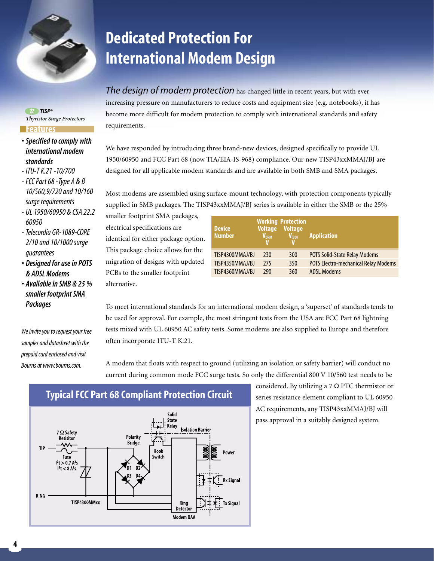

**Features**

*TISP®*

*standards - ITU-T K.21 -10/700 - FCC Part 68 -Type A & B 10/560,9/720 and 10/160*

*60950*

*guarantees*

*Packages*

*surge requirements - UL 1950/60950 & CSA 22.2*

*- Telecordia GR-1089-CORE 2/10 and 10/1000 surge*

*• Designed for use in POTS & ADSL Modems • Available in SMB & 25 % smaller footprint SMA*

*We invite you to request your free samples and datasheet with the prepaid card enclosed and visit Bourns at www.bourns.com.*

*• Specified to comply with international modem*

*Thyristor Surge Protectors* 

# **Dedicated Protection For International Modem Design**

*The design of modem protection* has changed little in recent years, but with ever increasing pressure on manufacturers to reduce costs and equipment size (e.g. notebooks), it has become more difficult for modem protection to comply with international standards and safety requirements.

We have responded by introducing three brand-new devices, designed specifically to provide UL 1950/60950 and FCC Part 68 (now TIA/EIA-IS-968) compliance. Our new TISP43xxMMAJ/BJ are designed for all applicable modem standards and are available in both SMB and SMA packages.

Most modems are assembled using surface-mount technology, with protection components typically supplied in SMB packages. The TISP43xxMMAJ/BJ series is available in either the SMB or the 25%

smaller footprint SMA packages, electrical specifications are identical for either package option. This package choice allows for the migration of designs with updated PCBs to the smaller footprint alternative.

| <b>Device</b><br><b>Number</b> | <b>Voltage</b><br><b>V<sub>DRM</sub></b> | <b>Working Protection</b><br><b>Voltage</b><br>$V_{(BO)}$ | <b>Application</b>                          |
|--------------------------------|------------------------------------------|-----------------------------------------------------------|---------------------------------------------|
| TISP4300MMAJ/BJ                | 230                                      | 300                                                       | <b>POTS Solid-State Relay Modems</b>        |
| TISP4350MMAJ/BJ                | 275                                      | 350                                                       | <b>POTS Electro-mechanical Relay Modems</b> |
| TISP4360MMAJ/BJ                | 290                                      | 360                                                       | <b>ADSL Modems</b>                          |

considered. By utilizing a 7  $\Omega$  PTC thermistor or series resistance element compliant to UL 60950 AC requirements, any TISP43xxMMAJ/BJ will pass approval in a suitably designed system.

To meet international standards for an international modem design, a 'superset' of standards tends to be used for approval. For example, the most stringent tests from the USA are FCC Part 68 lightning tests mixed with UL 60950 AC safety tests. Some modems are also supplied to Europe and therefore often incorporate ITU-T K.21.

A modem that floats with respect to ground (utilizing an isolation or safety barrier) will conduct no current during common mode FCC surge tests. So only the differential 800 V 10/560 test needs to be



# **Typical FCC Part 68 Compliant Protection Circuit**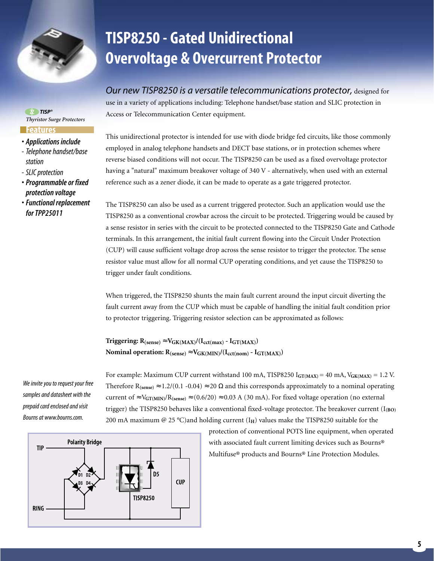

*TISP® Thyristor Surge Protectors* 

#### **Features**

- *Applications include*
- *Telephone handset/base station*
- *SLIC protection*
- *Programmable or fixed protection voltage*
- *Functional replacement for TPP25011*

### **TISP8250 - Gated Unidirectional Overvoltage & Overcurrent Protector**

*Our new TISP8250 is a versatile telecommunications protector,* designed for use in a variety of applications including: Telephone handset/base station and SLIC protection in Access or Telecommunication Center equipment.

This unidirectional protector is intended for use with diode bridge fed circuits, like those commonly employed in analog telephone handsets and DECT base stations, or in protection schemes where reverse biased conditions will not occur. The TISP8250 can be used as a fixed overvoltage protector having a "natural" maximum breakover voltage of 340 V - alternatively, when used with an external reference such as a zener diode, it can be made to operate as a gate triggered protector.

The TISP8250 can also be used as a current triggered protector. Such an application would use the TISP8250 as a conventional crowbar across the circuit to be protected. Triggering would be caused by a sense resistor in series with the circuit to be protected connected to the TISP8250 Gate and Cathode terminals. In this arrangement, the initial fault current flowing into the Circuit Under Protection (CUP) will cause sufficient voltage drop across the sense resistor to trigger the protector. The sense resistor value must allow for all normal CUP operating conditions, and yet cause the TISP8250 to trigger under fault conditions.

When triggered, the TISP8250 shunts the main fault current around the input circuit diverting the fault current away from the CUP which must be capable of handling the initial fault condition prior to protector triggering. Triggering resistor selection can be approximated as follows:

For example: Maximum CUP current withstand 100 mA, TISP8250 I<sub>GT(MAX</sub>) = 40 mA, V<sub>GK(MAX</sub>) = 1.2 V. Therefore R<sub>(sense)</sub>  $\approx 1.2/(0.1 - 0.04) \approx 20 \Omega$  and this corresponds approximately to a nominal operating current of  $\approx$  V<sub>GT(MIN)</sub>/R<sub>(sense)</sub>  $\approx$  (0.6/20)  $\approx$  0.03 A (30 mA). For fixed voltage operation (no external trigger) the TISP8250 behaves like a conventional fixed-voltage protector. The breakover current (I<sub>(BO)</sub>

200 mA maximum  $@$  25 °C)and holding current ( $I_H$ ) values make the TISP8250 suitable for the

**Triggering:**  $R_{(sense)} \approx V_{GK(MAX)}/(I_{cct(max)} - I_{GT(MAX)})$ Nominal operation:  $R_{(sense)} \approx V_{GK(MIN)}/(I_{cct(nom)} - I_{GT(MAX)})$ 

*We invite you to request your free samples and datasheet with the prepaid card enclosed and visit Bourns at www.bourns.com.*



protection of conventional POTS line equipment, when operated with associated fault current limiting devices such as Bourns® Multifuse® products and Bourns® Line Protection Modules.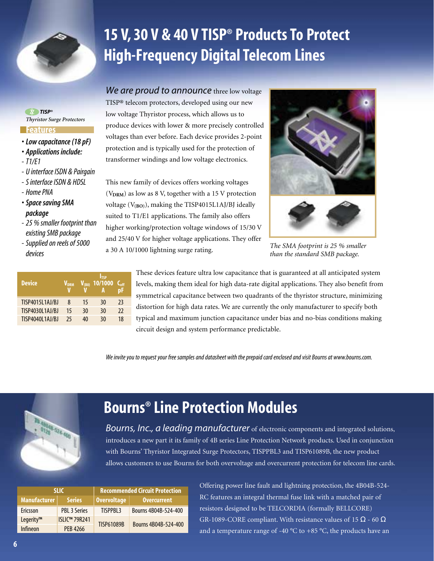

# **15 V, 30 V & 40 V TISP® Products To Protect High-Frequency Digital Telecom Lines**

*TISP® Thyristor Surge Protectors* 

#### **Features**

- *Low capacitance (18 pF)*
- *Applications include:*
- *T1/E1*
- *U interface ISDN & Pairgain*
- *S interface ISDN & HDSL*
- *Home PNA*
- *Space saving SMA package*
- *25 % smaller footprint than existing SMB package*
- *Supplied on reels of 5000 devices*

| <b>Device</b>   | V <sub>DRM</sub> |    | ltsp<br>$V_{(B0)}$ 10/1000 | $C_{off}$ |
|-----------------|------------------|----|----------------------------|-----------|
| TISP4015L1AJ/BJ | 8                | 15 | 30                         | 23        |
| TISP4030L1AJ/BJ | 15               | 30 | 30                         | 22        |
| TISP4040L1AJ/BJ | 25               | 40 | 30                         | 18        |

*We are proud to announce* three low voltage TISP® telecom protectors, developed using our new low voltage Thyristor process, which allows us to produce devices with lower & more precisely controlled voltages than ever before. Each device provides 2-point protection and is typically used for the protection of transformer windings and low voltage electronics.

This new family of devices offers working voltages (V**DRM**) as low as 8 V, together with a 15 V protection voltage (V**(BO)**), making the TISP4015L1AJ/BJ ideally suited to T1/E1 applications. The family also offers higher working/protection voltage windows of 15/30 V and 25/40 V for higher voltage applications. They offer a 30 A 10/1000 lightning surge rating.



*The SMA footprint is 25 % smaller than the standard SMB package.*

These devices feature ultra low capacitance that is guaranteed at all anticipated system levels, making them ideal for high data-rate digital applications. They also benefit from symmetrical capacitance between two quadrants of the thyristor structure, minimizing distortion for high data rates. We are currently the only manufacturer to specify both typical and maximum junction capacitance under bias and no-bias conditions making circuit design and system performance predictable.

*We invite you to request your free samples and datasheet with the prepaid card enclosed and visit Bourns at www.bourns.com.*



### **Bourns® Line Protection Modules**

*Bourns, Inc., a leading manufacturer* of electronic components and integrated solutions, introduces a new part it its family of 4B series Line Protection Network products. Used in conjunction with Bourns' Thyristor Integrated Surge Protectors, TISPPBL3 and TISP61089B, the new product allows customers to use Bourns for both overvoltage and overcurrent protection for telecom line cards.

|                     | <b>SLIC</b>          | <b>Recommended Circuit Protection</b> |                      |  |  |
|---------------------|----------------------|---------------------------------------|----------------------|--|--|
| <b>Manufacturer</b> | <b>Series</b>        | <b>Overvoltage</b>                    | <b>Overcurrent</b>   |  |  |
| Ericsson            | <b>PBL 3 Series</b>  | TISPPBI <sub>3</sub>                  | Bourns 4B04B-524-400 |  |  |
| Legerity™           | <b>ISLIC™ 79R241</b> | <b>TISP61089B</b>                     | Bourns 4B04B-524-400 |  |  |
| Infineon            | PFR 4266             |                                       |                      |  |  |

Offering power line fault and lightning protection, the 4B04B-524- RC features an integral thermal fuse link with a matched pair of resistors designed to be TELCORDIA (formally BELLCORE) GR-1089-CORE compliant. With resistance values of 15  $\Omega$  - 60  $\Omega$ and a temperature range of -40  $^{\circ}$ C to +85  $^{\circ}$ C, the products have an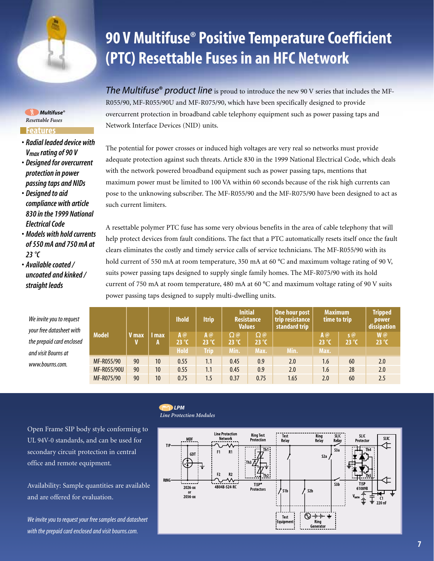

*Multifuse® Resettable Fuses* 

#### **Features**

- *Radial leaded device with Vmax rating of 90 V*
- *Designed for overcurrent protection in power passing taps and NIDs*
- *Designed to aid compliance with article 830 in the 1999 National Electrical Code*
- *Models with hold currents of 550 mA and 750 mA at 23 °C*
- *Available coated / uncoated and kinked / straight leads*

*We in your f* the pi *and v*  $WWW$ 

# **90 V Multifuse® Positive Temperature Coefficient (PTC) Resettable Fuses in an HFC Network**

*The Multifuse***®** *product line* is proud to introduce the new 90 V series that includes the MF-R055/90, MF-R055/90U and MF-R075/90, which have been specifically designed to provide overcurrent protection in broadband cable telephony equipment such as power passing taps and Network Interface Devices (NID) units.

The potential for power crosses or induced high voltages are very real so networks must provide adequate protection against such threats. Article 830 in the 1999 National Electrical Code, which deals with the network powered broadband equipment such as power passing taps, mentions that maximum power must be limited to 100 VA within 60 seconds because of the risk high currents can pose to the unknowing subscriber. The MF-R055/90 and the MF-R075/90 have been designed to act as such current limiters.

A resettable polymer PTC fuse has some very obvious benefits in the area of cable telephony that will help protect devices from fault conditions. The fact that a PTC automatically resets itself once the fault clears eliminates the costly and timely service calls of service technicians. The MF-R055/90 with its hold current of 550 mA at room temperature, 350 mA at 60 °C and maximum voltage rating of 90 V, suits power passing taps designed to supply single family homes. The MF-R075/90 with its hold current of 750 mA at room temperature, 480 mA at 60 °C and maximum voltage rating of 90 V suits power passing taps designed to supply multi-dwelling units.

| vite you to request<br>free datasheet with |              |              |            | <b>Ihold</b>                      |                                                                | <b>Itrip</b>                        | <b>Initial</b><br><b>Resistance</b><br><b>Values</b> |      | One hour post<br>trip resistance<br>standard trip | <b>Maximum</b><br>time to trip |                     | <b>Tripped</b><br>power<br>dissipation |
|--------------------------------------------|--------------|--------------|------------|-----------------------------------|----------------------------------------------------------------|-------------------------------------|------------------------------------------------------|------|---------------------------------------------------|--------------------------------|---------------------|----------------------------------------|
| epaid card enclosed<br>isit Bourns at      | <b>Model</b> | <b>V</b> max | l max<br>A | $A$ $@$<br>$23^{\circ}$ C<br>Hold | $A$ <sup><math>@</math></sup><br>$23^{\circ}$ C<br><b>Trip</b> | $\Omega$ @<br>$23^{\circ}C$<br>Min. | $\Omega$ @<br>$23^{\circ}$ C<br>Max.                 | Min. | $A$ @<br>$23^{\circ}$ C<br>Max.                   | $S(\omega)$<br>$23^{\circ}$ C  | W@<br>$23^{\circ}C$ |                                        |
| .bourns.com.                               | MF-R055/90   | 90           | 10         | 0.55                              | 1.1                                                            | 0.45                                | 0.9                                                  | 2.0  | 1.6                                               | 60                             | 2.0                 |                                        |
|                                            | MF-R055/90U  | 90           | 10         | 0.55                              | 1.1                                                            | 0.45                                | 0.9                                                  | 2.0  | 1.6                                               | 28                             | 2.0                 |                                        |
|                                            | MF-R075/90   | 90           | 10         | 0.75                              | 1.5                                                            | 0.37                                | 0.75                                                 | 1.65 | 2.0                                               | 60                             | 2.5                 |                                        |

Open Frame SIP body style conforming to UL 94V-0 standards, and can be used for secondary circuit protection in central office and remote equipment.

Availability: Sample quantities are available and are offered for evaluation.

*We invite you to request your free samples and datasheet with the prepaid card enclosed and visit bourns.com.*

#### *LPM Line Protection Modules*